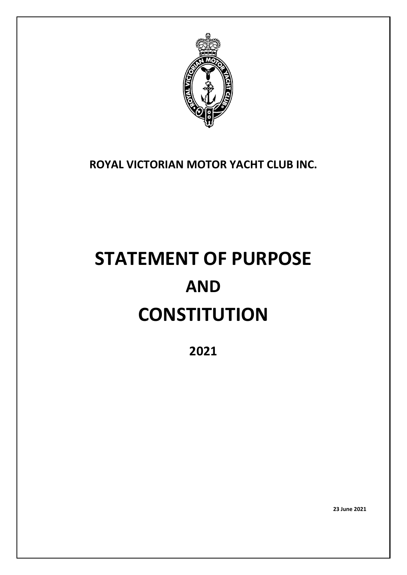

# **ROYAL VICTORIAN MOTOR YACHT CLUB INC.**

# **STATEMENT OF PURPOSE AND CONSTITUTION**

**2021**

**23 June 2021**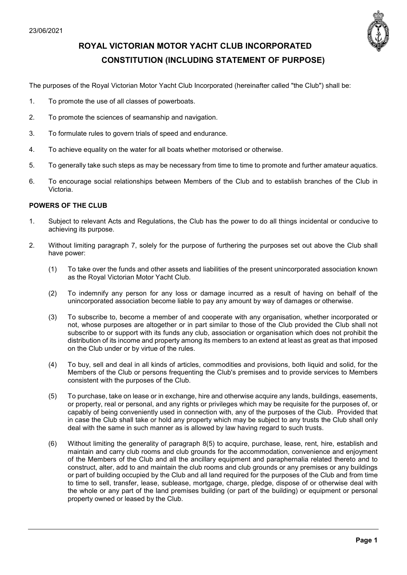

# **ROYAL VICTORIAN MOTOR YACHT CLUB INCORPORATED CONSTITUTION (INCLUDING STATEMENT OF PURPOSE)**

The purposes of the Royal Victorian Motor Yacht Club Incorporated (hereinafter called "the Club") shall be:

- 1. To promote the use of all classes of powerboats.
- 2. To promote the sciences of seamanship and navigation.
- 3. To formulate rules to govern trials of speed and endurance.
- 4. To achieve equality on the water for all boats whether motorised or otherwise.
- 5. To generally take such steps as may be necessary from time to time to promote and further amateur aquatics.
- 6. To encourage social relationships between Members of the Club and to establish branches of the Club in Victoria.

#### **POWERS OF THE CLUB**

- 1. Subject to relevant Acts and Regulations, the Club has the power to do all things incidental or conducive to achieving its purpose.
- 2. Without limiting paragraph 7, solely for the purpose of furthering the purposes set out above the Club shall have power:
	- (1) To take over the funds and other assets and liabilities of the present unincorporated association known as the Royal Victorian Motor Yacht Club.
	- (2) To indemnify any person for any loss or damage incurred as a result of having on behalf of the unincorporated association become liable to pay any amount by way of damages or otherwise.
	- (3) To subscribe to, become a member of and cooperate with any organisation, whether incorporated or not, whose purposes are altogether or in part similar to those of the Club provided the Club shall not subscribe to or support with its funds any club, association or organisation which does not prohibit the distribution of its income and property among its members to an extend at least as great as that imposed on the Club under or by virtue of the rules.
	- (4) To buy, sell and deal in all kinds of articles, commodities and provisions, both liquid and solid, for the Members of the Club or persons frequenting the Club's premises and to provide services to Members consistent with the purposes of the Club.
	- (5) To purchase, take on lease or in exchange, hire and otherwise acquire any lands, buildings, easements, or property, real or personal, and any rights or privileges which may be requisite for the purposes of, or capably of being conveniently used in connection with, any of the purposes of the Club. Provided that in case the Club shall take or hold any property which may be subject to any trusts the Club shall only deal with the same in such manner as is allowed by law having regard to such trusts.
	- (6) Without limiting the generality of paragraph 8(5) to acquire, purchase, lease, rent, hire, establish and maintain and carry club rooms and club grounds for the accommodation, convenience and enjoyment of the Members of the Club and all the ancillary equipment and paraphernalia related thereto and to construct, alter, add to and maintain the club rooms and club grounds or any premises or any buildings or part of building occupied by the Club and all land required for the purposes of the Club and from time to time to sell, transfer, lease, sublease, mortgage, charge, pledge, dispose of or otherwise deal with the whole or any part of the land premises building (or part of the building) or equipment or personal property owned or leased by the Club.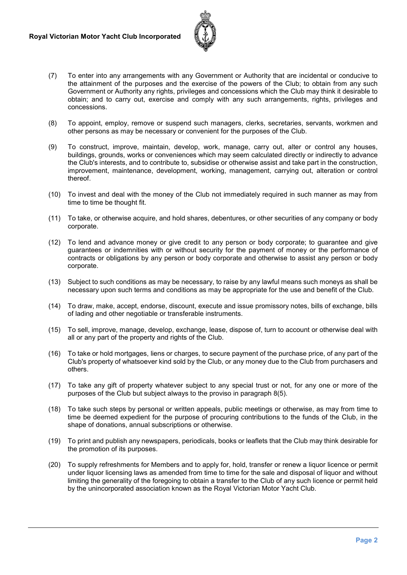

- (7) To enter into any arrangements with any Government or Authority that are incidental or conducive to the attainment of the purposes and the exercise of the powers of the Club; to obtain from any such Government or Authority any rights, privileges and concessions which the Club may think it desirable to obtain; and to carry out, exercise and comply with any such arrangements, rights, privileges and concessions.
- (8) To appoint, employ, remove or suspend such managers, clerks, secretaries, servants, workmen and other persons as may be necessary or convenient for the purposes of the Club.
- (9) To construct, improve, maintain, develop, work, manage, carry out, alter or control any houses, buildings, grounds, works or conveniences which may seem calculated directly or indirectly to advance the Club's interests, and to contribute to, subsidise or otherwise assist and take part in the construction, improvement, maintenance, development, working, management, carrying out, alteration or control thereof.
- (10) To invest and deal with the money of the Club not immediately required in such manner as may from time to time be thought fit.
- (11) To take, or otherwise acquire, and hold shares, debentures, or other securities of any company or body corporate.
- (12) To lend and advance money or give credit to any person or body corporate; to guarantee and give guarantees or indemnities with or without security for the payment of money or the performance of contracts or obligations by any person or body corporate and otherwise to assist any person or body corporate.
- (13) Subject to such conditions as may be necessary, to raise by any lawful means such moneys as shall be necessary upon such terms and conditions as may be appropriate for the use and benefit of the Club.
- (14) To draw, make, accept, endorse, discount, execute and issue promissory notes, bills of exchange, bills of lading and other negotiable or transferable instruments.
- (15) To sell, improve, manage, develop, exchange, lease, dispose of, turn to account or otherwise deal with all or any part of the property and rights of the Club.
- (16) To take or hold mortgages, liens or charges, to secure payment of the purchase price, of any part of the Club's property of whatsoever kind sold by the Club, or any money due to the Club from purchasers and others.
- (17) To take any gift of property whatever subject to any special trust or not, for any one or more of the purposes of the Club but subject always to the proviso in paragraph 8(5).
- (18) To take such steps by personal or written appeals, public meetings or otherwise, as may from time to time be deemed expedient for the purpose of procuring contributions to the funds of the Club, in the shape of donations, annual subscriptions or otherwise.
- (19) To print and publish any newspapers, periodicals, books or leaflets that the Club may think desirable for the promotion of its purposes.
- (20) To supply refreshments for Members and to apply for, hold, transfer or renew a liquor licence or permit under liquor licensing laws as amended from time to time for the sale and disposal of liquor and without limiting the generality of the foregoing to obtain a transfer to the Club of any such licence or permit held by the unincorporated association known as the Royal Victorian Motor Yacht Club.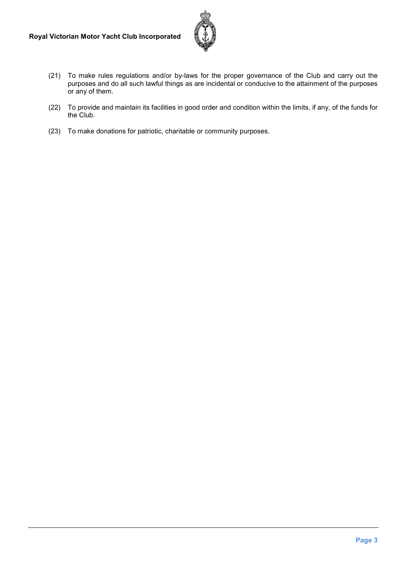

- (21) To make rules regulations and/or by-laws for the proper governance of the Club and carry out the purposes and do all such lawful things as are incidental or conducive to the attainment of the purposes or any of them.
- (22) To provide and maintain its facilities in good order and condition within the limits, if any, of the funds for the Club.
- (23) To make donations for patriotic, charitable or community purposes.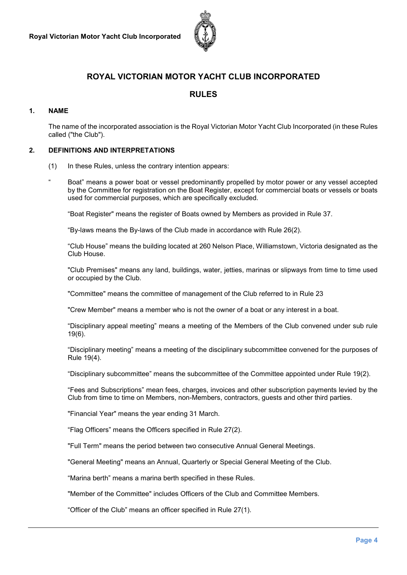

## **ROYAL VICTORIAN MOTOR YACHT CLUB INCORPORATED**

## **RULES**

#### **1. NAME**

The name of the incorporated association is the Royal Victorian Motor Yacht Club Incorporated (in these Rules called ("the Club").

#### **2. DEFINITIONS AND INTERPRETATIONS**

- (1) In these Rules, unless the contrary intention appears:
- Boat" means a power boat or vessel predominantly propelled by motor power or any vessel accepted by the Committee for registration on the Boat Register, except for commercial boats or vessels or boats used for commercial purposes, which are specifically excluded.

"Boat Register" means the register of Boats owned by Members as provided in Rule 37.

"By-laws means the By-laws of the Club made in accordance with Rule 26(2).

"Club House" means the building located at 260 Nelson Place, Williamstown, Victoria designated as the Club House.

"Club Premises" means any land, buildings, water, jetties, marinas or slipways from time to time used or occupied by the Club.

"Committee" means the committee of management of the Club referred to in Rule 23

"Crew Member" means a member who is not the owner of a boat or any interest in a boat.

"Disciplinary appeal meeting" means a meeting of the Members of the Club convened under sub rule 19(6).

"Disciplinary meeting" means a meeting of the disciplinary subcommittee convened for the purposes of Rule 19(4).

"Disciplinary subcommittee" means the subcommittee of the Committee appointed under Rule 19(2).

"Fees and Subscriptions" mean fees, charges, invoices and other subscription payments levied by the Club from time to time on Members, non-Members, contractors, guests and other third parties.

"Financial Year" means the year ending 31 March.

"Flag Officers" means the Officers specified in Rule 27(2).

"Full Term" means the period between two consecutive Annual General Meetings.

"General Meeting" means an Annual, Quarterly or Special General Meeting of the Club.

"Marina berth" means a marina berth specified in these Rules.

"Member of the Committee" includes Officers of the Club and Committee Members.

"Officer of the Club" means an officer specified in Rule 27(1).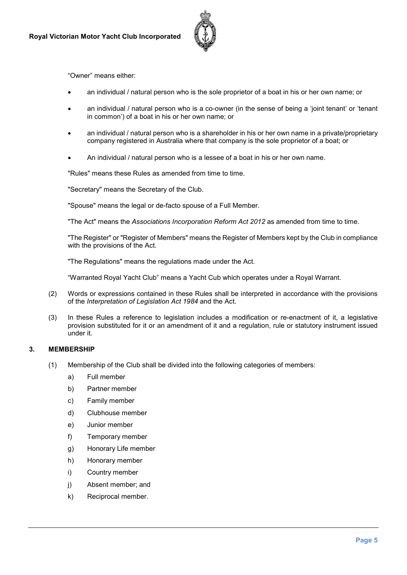

"Owner" means either:

- an individual / natural person who is the sole proprietor of a boat in his or her own name; or
- an individual / natural person who is a co-owner (in the sense of being a 'joint tenant' or 'tenant in common') of a boat in his or her own name; or
- an individual / natural person who is a shareholder in his or her own name in a private/proprietary company registered in Australia where that company is the sole proprietor of a boat; or
- An individual / natural person who is a lessee of a boat in his or her own name.

"Rules" means these Rules as amended from time to time.

"Secretary" means the Secretary of the Club.

"Spouse" means the legal or de-facto spouse of a Full Member.

"The Act" means the *Associations Incorporation Reform Act 2012* as amended from time to time.

"The Register" or "Register of Members" means the Register of Members kept by the Club in compliance with the provisions of the Act.

"The Regulations" means the regulations made under the Act.

"Warranted Royal Yacht Club" means a Yacht Cub which operates under a Royal Warrant.

- (2) Words or expressions contained in these Rules shall be interpreted in accordance with the provisions of the *Interpretation of Legislation Act 1984* and the Act.
- (3) In these Rules a reference to legislation includes a modification or re-enactment of it, a legislative provision substituted for it or an amendment of it and a regulation, rule or statutory instrument issued under it.

#### **3. MEMBERSHIP**

- (1) Membership of the Club shall be divided into the following categories of members:
	- a) Full member
	- b) Partner member
	- c) Family member
	- d) Clubhouse member
	- e) Junior member
	- f) Temporary member
	- g) Honorary Life member
	- h) Honorary member
	- i) Country member
	- j) Absent member; and
	- k) Reciprocal member.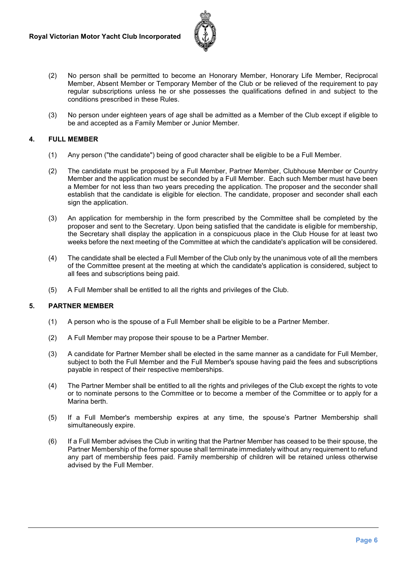

- (2) No person shall be permitted to become an Honorary Member, Honorary Life Member, Reciprocal Member, Absent Member or Temporary Member of the Club or be relieved of the requirement to pay regular subscriptions unless he or she possesses the qualifications defined in and subject to the conditions prescribed in these Rules.
- (3) No person under eighteen years of age shall be admitted as a Member of the Club except if eligible to be and accepted as a Family Member or Junior Member.

#### **4. FULL MEMBER**

- (1) Any person ("the candidate") being of good character shall be eligible to be a Full Member.
- (2) The candidate must be proposed by a Full Member, Partner Member, Clubhouse Member or Country Member and the application must be seconded by a Full Member. Each such Member must have been a Member for not less than two years preceding the application. The proposer and the seconder shall establish that the candidate is eligible for election. The candidate, proposer and seconder shall each sign the application.
- (3) An application for membership in the form prescribed by the Committee shall be completed by the proposer and sent to the Secretary. Upon being satisfied that the candidate is eligible for membership, the Secretary shall display the application in a conspicuous place in the Club House for at least two weeks before the next meeting of the Committee at which the candidate's application will be considered.
- (4) The candidate shall be elected a Full Member of the Club only by the unanimous vote of all the members of the Committee present at the meeting at which the candidate's application is considered, subject to all fees and subscriptions being paid.
- (5) A Full Member shall be entitled to all the rights and privileges of the Club.

#### **5. PARTNER MEMBER**

- (1) A person who is the spouse of a Full Member shall be eligible to be a Partner Member.
- (2) A Full Member may propose their spouse to be a Partner Member.
- (3) A candidate for Partner Member shall be elected in the same manner as a candidate for Full Member, subject to both the Full Member and the Full Member's spouse having paid the fees and subscriptions payable in respect of their respective memberships.
- (4) The Partner Member shall be entitled to all the rights and privileges of the Club except the rights to vote or to nominate persons to the Committee or to become a member of the Committee or to apply for a Marina berth.
- (5) If a Full Member's membership expires at any time, the spouse's Partner Membership shall simultaneously expire.
- (6) If a Full Member advises the Club in writing that the Partner Member has ceased to be their spouse, the Partner Membership of the former spouse shall terminate immediately without any requirement to refund any part of membership fees paid. Family membership of children will be retained unless otherwise advised by the Full Member.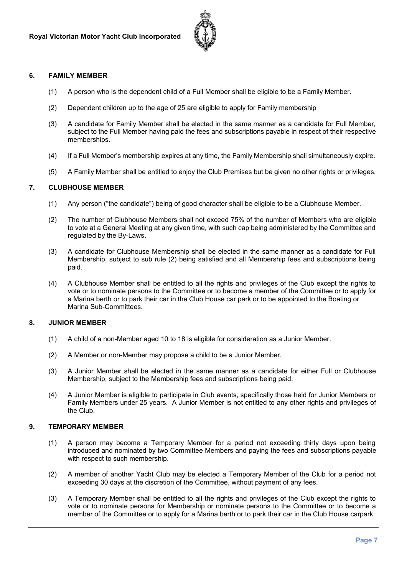

#### **6. FAMILY MEMBER**

- (1) A person who is the dependent child of a Full Member shall be eligible to be a Family Member.
- (2) Dependent children up to the age of 25 are eligible to apply for Family membership
- (3) A candidate for Family Member shall be elected in the same manner as a candidate for Full Member, subject to the Full Member having paid the fees and subscriptions payable in respect of their respective memberships.
- (4) If a Full Member's membership expires at any time, the Family Membership shall simultaneously expire.
- (5) A Family Member shall be entitled to enjoy the Club Premises but be given no other rights or privileges.

#### **7. CLUBHOUSE MEMBER**

- (1) Any person ("the candidate") being of good character shall be eligible to be a Clubhouse Member.
- (2) The number of Clubhouse Members shall not exceed 75% of the number of Members who are eligible to vote at a General Meeting at any given time, with such cap being administered by the Committee and regulated by the By-Laws.
- (3) A candidate for Clubhouse Membership shall be elected in the same manner as a candidate for Full Membership, subject to sub rule (2) being satisfied and all Membership fees and subscriptions being paid.
- (4) A Clubhouse Member shall be entitled to all the rights and privileges of the Club except the rights to vote or to nominate persons to the Committee or to become a member of the Committee or to apply for a Marina berth or to park their car in the Club House car park or to be appointed to the Boating or Marina Sub-Committees.

#### **8. JUNIOR MEMBER**

- (1) A child of a non-Member aged 10 to 18 is eligible for consideration as a Junior Member.
- (2) A Member or non-Member may propose a child to be a Junior Member.
- (3) A Junior Member shall be elected in the same manner as a candidate for either Full or Clubhouse Membership, subject to the Membership fees and subscriptions being paid.
- (4) A Junior Member is eligible to participate in Club events, specifically those held for Junior Members or Family Members under 25 years. A Junior Member is not entitled to any other rights and privileges of the Club.

#### **9. TEMPORARY MEMBER**

- (1) A person may become a Temporary Member for a period not exceeding thirty days upon being introduced and nominated by two Committee Members and paying the fees and subscriptions payable with respect to such membership.
- (2) A member of another Yacht Club may be elected a Temporary Member of the Club for a period not exceeding 30 days at the discretion of the Committee, without payment of any fees.
- (3) A Temporary Member shall be entitled to all the rights and privileges of the Club except the rights to vote or to nominate persons for Membership or nominate persons to the Committee or to become a member of the Committee or to apply for a Marina berth or to park their car in the Club House carpark.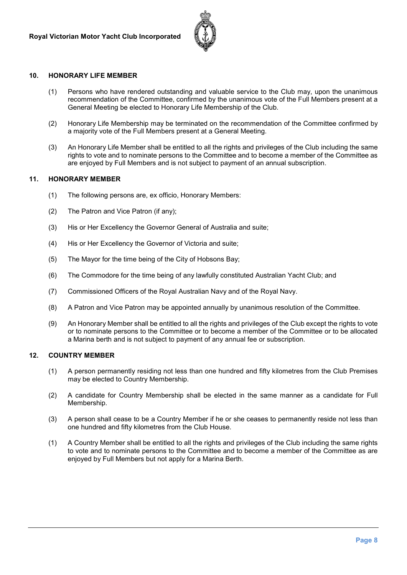

#### **10. HONORARY LIFE MEMBER**

- (1) Persons who have rendered outstanding and valuable service to the Club may, upon the unanimous recommendation of the Committee, confirmed by the unanimous vote of the Full Members present at a General Meeting be elected to Honorary Life Membership of the Club.
- (2) Honorary Life Membership may be terminated on the recommendation of the Committee confirmed by a majority vote of the Full Members present at a General Meeting.
- (3) An Honorary Life Member shall be entitled to all the rights and privileges of the Club including the same rights to vote and to nominate persons to the Committee and to become a member of the Committee as are enjoyed by Full Members and is not subject to payment of an annual subscription.

#### **11. HONORARY MEMBER**

- (1) The following persons are, ex officio, Honorary Members:
- (2) The Patron and Vice Patron (if any);
- (3) His or Her Excellency the Governor General of Australia and suite;
- (4) His or Her Excellency the Governor of Victoria and suite;
- (5) The Mayor for the time being of the City of Hobsons Bay;
- (6) The Commodore for the time being of any lawfully constituted Australian Yacht Club; and
- (7) Commissioned Officers of the Royal Australian Navy and of the Royal Navy.
- (8) A Patron and Vice Patron may be appointed annually by unanimous resolution of the Committee.
- (9) An Honorary Member shall be entitled to all the rights and privileges of the Club except the rights to vote or to nominate persons to the Committee or to become a member of the Committee or to be allocated a Marina berth and is not subject to payment of any annual fee or subscription.

#### **12. COUNTRY MEMBER**

- (1) A person permanently residing not less than one hundred and fifty kilometres from the Club Premises may be elected to Country Membership.
- (2) A candidate for Country Membership shall be elected in the same manner as a candidate for Full Membership.
- (3) A person shall cease to be a Country Member if he or she ceases to permanently reside not less than one hundred and fifty kilometres from the Club House.
- (1) A Country Member shall be entitled to all the rights and privileges of the Club including the same rights to vote and to nominate persons to the Committee and to become a member of the Committee as are enjoyed by Full Members but not apply for a Marina Berth.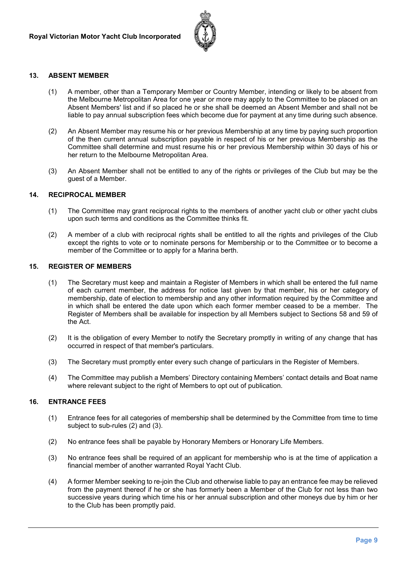

#### **13. ABSENT MEMBER**

- (1) A member, other than a Temporary Member or Country Member, intending or likely to be absent from the Melbourne Metropolitan Area for one year or more may apply to the Committee to be placed on an Absent Members' list and if so placed he or she shall be deemed an Absent Member and shall not be liable to pay annual subscription fees which become due for payment at any time during such absence.
- (2) An Absent Member may resume his or her previous Membership at any time by paying such proportion of the then current annual subscription payable in respect of his or her previous Membership as the Committee shall determine and must resume his or her previous Membership within 30 days of his or her return to the Melbourne Metropolitan Area.
- (3) An Absent Member shall not be entitled to any of the rights or privileges of the Club but may be the guest of a Member.

#### **14. RECIPROCAL MEMBER**

- (1) The Committee may grant reciprocal rights to the members of another yacht club or other yacht clubs upon such terms and conditions as the Committee thinks fit.
- (2) A member of a club with reciprocal rights shall be entitled to all the rights and privileges of the Club except the rights to vote or to nominate persons for Membership or to the Committee or to become a member of the Committee or to apply for a Marina berth.

#### **15. REGISTER OF MEMBERS**

- (1) The Secretary must keep and maintain a Register of Members in which shall be entered the full name of each current member, the address for notice last given by that member, his or her category of membership, date of election to membership and any other information required by the Committee and in which shall be entered the date upon which each former member ceased to be a member. The Register of Members shall be available for inspection by all Members subject to Sections 58 and 59 of the Act.
- (2) It is the obligation of every Member to notify the Secretary promptly in writing of any change that has occurred in respect of that member's particulars.
- (3) The Secretary must promptly enter every such change of particulars in the Register of Members.
- (4) The Committee may publish a Members' Directory containing Members' contact details and Boat name where relevant subject to the right of Members to opt out of publication.

#### **16. ENTRANCE FEES**

- (1) Entrance fees for all categories of membership shall be determined by the Committee from time to time subject to sub-rules (2) and (3).
- (2) No entrance fees shall be payable by Honorary Members or Honorary Life Members.
- (3) No entrance fees shall be required of an applicant for membership who is at the time of application a financial member of another warranted Royal Yacht Club.
- (4) A former Member seeking to re-join the Club and otherwise liable to pay an entrance fee may be relieved from the payment thereof if he or she has formerly been a Member of the Club for not less than two successive years during which time his or her annual subscription and other moneys due by him or her to the Club has been promptly paid.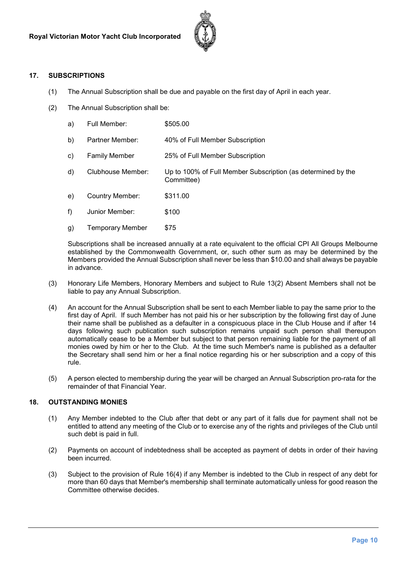

#### **17. SUBSCRIPTIONS**

- (1) The Annual Subscription shall be due and payable on the first day of April in each year.
- (2) The Annual Subscription shall be:

| a) | Full Member:         | \$505.00                                                                   |
|----|----------------------|----------------------------------------------------------------------------|
| b) | Partner Member:      | 40% of Full Member Subscription                                            |
| C) | <b>Family Member</b> | 25% of Full Member Subscription                                            |
| d) | Clubhouse Member:    | Up to 100% of Full Member Subscription (as determined by the<br>Committee) |
| e) | Country Member:      | \$311.00                                                                   |
| f) | Junior Member:       | \$100                                                                      |
| g) | Temporary Member     | \$75                                                                       |

Subscriptions shall be increased annually at a rate equivalent to the official CPI All Groups Melbourne established by the Commonwealth Government, or, such other sum as may be determined by the Members provided the Annual Subscription shall never be less than \$10.00 and shall always be payable in advance.

- (3) Honorary Life Members, Honorary Members and subject to Rule 13(2) Absent Members shall not be liable to pay any Annual Subscription.
- (4) An account for the Annual Subscription shall be sent to each Member liable to pay the same prior to the first day of April. If such Member has not paid his or her subscription by the following first day of June their name shall be published as a defaulter in a conspicuous place in the Club House and if after 14 days following such publication such subscription remains unpaid such person shall thereupon automatically cease to be a Member but subject to that person remaining liable for the payment of all monies owed by him or her to the Club. At the time such Member's name is published as a defaulter the Secretary shall send him or her a final notice regarding his or her subscription and a copy of this rule.
- (5) A person elected to membership during the year will be charged an Annual Subscription pro-rata for the remainder of that Financial Year.

#### **18. OUTSTANDING MONIES**

- (1) Any Member indebted to the Club after that debt or any part of it falls due for payment shall not be entitled to attend any meeting of the Club or to exercise any of the rights and privileges of the Club until such debt is paid in full.
- (2) Payments on account of indebtedness shall be accepted as payment of debts in order of their having been incurred.
- (3) Subject to the provision of Rule 16(4) if any Member is indebted to the Club in respect of any debt for more than 60 days that Member's membership shall terminate automatically unless for good reason the Committee otherwise decides.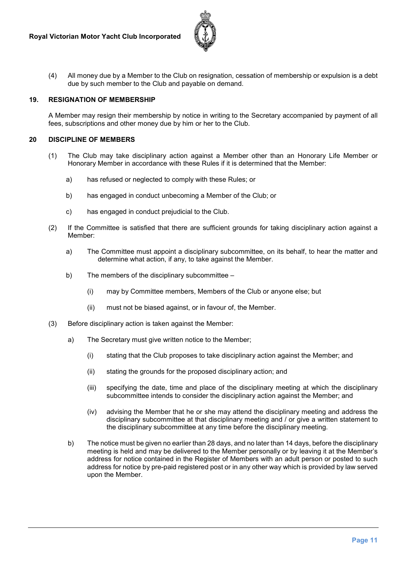

(4) All money due by a Member to the Club on resignation, cessation of membership or expulsion is a debt due by such member to the Club and payable on demand.

#### **19. RESIGNATION OF MEMBERSHIP**

A Member may resign their membership by notice in writing to the Secretary accompanied by payment of all fees, subscriptions and other money due by him or her to the Club.

#### **20 DISCIPLINE OF MEMBERS**

- (1) The Club may take disciplinary action against a Member other than an Honorary Life Member or Honorary Member in accordance with these Rules if it is determined that the Member:
	- a) has refused or neglected to comply with these Rules; or
	- b) has engaged in conduct unbecoming a Member of the Club; or
	- c) has engaged in conduct prejudicial to the Club.
- (2) If the Committee is satisfied that there are sufficient grounds for taking disciplinary action against a Member:
	- a) The Committee must appoint a disciplinary subcommittee, on its behalf, to hear the matter and determine what action, if any, to take against the Member.
	- b) The members of the disciplinary subcommittee
		- (i) may by Committee members, Members of the Club or anyone else; but
		- (ii) must not be biased against, or in favour of, the Member.
- (3) Before disciplinary action is taken against the Member:
	- a) The Secretary must give written notice to the Member;
		- (i) stating that the Club proposes to take disciplinary action against the Member; and
		- (ii) stating the grounds for the proposed disciplinary action; and
		- (iii) specifying the date, time and place of the disciplinary meeting at which the disciplinary subcommittee intends to consider the disciplinary action against the Member; and
		- (iv) advising the Member that he or she may attend the disciplinary meeting and address the disciplinary subcommittee at that disciplinary meeting and / or give a written statement to the disciplinary subcommittee at any time before the disciplinary meeting.
	- b) The notice must be given no earlier than 28 days, and no later than 14 days, before the disciplinary meeting is held and may be delivered to the Member personally or by leaving it at the Member's address for notice contained in the Register of Members with an adult person or posted to such address for notice by pre-paid registered post or in any other way which is provided by law served upon the Member.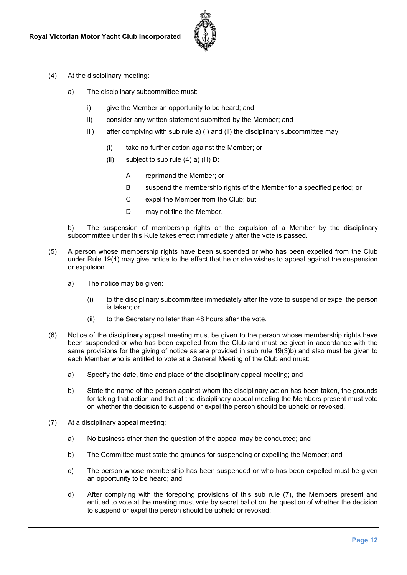

- (4) At the disciplinary meeting:
	- a) The disciplinary subcommittee must:
		- i) give the Member an opportunity to be heard; and
		- ii) consider any written statement submitted by the Member; and
		- iii) after complying with sub rule a) (i) and (ii) the disciplinary subcommittee may
			- (i) take no further action against the Member; or
			- (ii) subject to sub rule  $(4)$  a) (iii) D:
				- A reprimand the Member; or
				- B suspend the membership rights of the Member for a specified period; or
				- C expel the Member from the Club; but
				- D may not fine the Member.

b) The suspension of membership rights or the expulsion of a Member by the disciplinary subcommittee under this Rule takes effect immediately after the vote is passed.

- (5) A person whose membership rights have been suspended or who has been expelled from the Club under Rule 19(4) may give notice to the effect that he or she wishes to appeal against the suspension or expulsion.
	- a) The notice may be given:
		- (i) to the disciplinary subcommittee immediately after the vote to suspend or expel the person is taken; or
		- (ii) to the Secretary no later than 48 hours after the vote.
- (6) Notice of the disciplinary appeal meeting must be given to the person whose membership rights have been suspended or who has been expelled from the Club and must be given in accordance with the same provisions for the giving of notice as are provided in sub rule 19(3)b) and also must be given to each Member who is entitled to vote at a General Meeting of the Club and must:
	- a) Specify the date, time and place of the disciplinary appeal meeting; and
	- b) State the name of the person against whom the disciplinary action has been taken, the grounds for taking that action and that at the disciplinary appeal meeting the Members present must vote on whether the decision to suspend or expel the person should be upheld or revoked.
- (7) At a disciplinary appeal meeting:
	- a) No business other than the question of the appeal may be conducted; and
	- b) The Committee must state the grounds for suspending or expelling the Member; and
	- c) The person whose membership has been suspended or who has been expelled must be given an opportunity to be heard; and
	- d) After complying with the foregoing provisions of this sub rule (7), the Members present and entitled to vote at the meeting must vote by secret ballot on the question of whether the decision to suspend or expel the person should be upheld or revoked;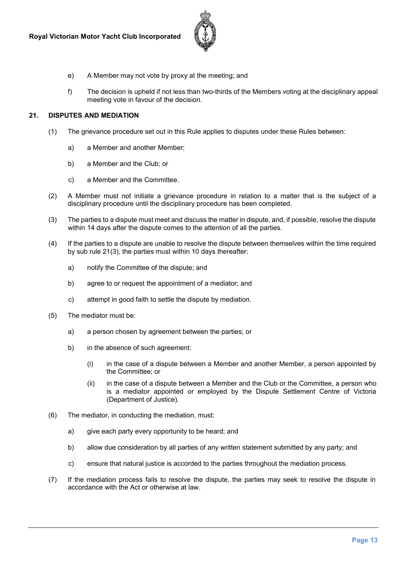

- e) A Member may not vote by proxy at the meeting; and
- f) The decision is upheld if not less than two-thirds of the Members voting at the disciplinary appeal meeting vote in favour of the decision.

#### **21. DISPUTES AND MEDIATION**

- (1) The grievance procedure set out in this Rule applies to disputes under these Rules between:
	- a) a Member and another Member;
	- b) a Member and the Club; or
	- c) a Member and the Committee.
- (2) A Member must not initiate a grievance procedure in relation to a matter that is the subject of a disciplinary procedure until the disciplinary procedure has been completed.
- (3) The parties to a dispute must meet and discuss the matter in dispute, and, if possible, resolve the dispute within 14 days after the dispute comes to the attention of all the parties.
- (4) If the parties to a dispute are unable to resolve the dispute between themselves within the time required by sub rule 21(3), the parties must within 10 days thereafter:
	- a) notify the Committee of the dispute; and
	- b) agree to or request the appointment of a mediator; and
	- c) attempt in good faith to settle the dispute by mediation.
- (5) The mediator must be:
	- a) a person chosen by agreement between the parties; or
	- b) in the absence of such agreement:
		- (i) in the case of a dispute between a Member and another Member, a person appointed by the Committee; or
		- (ii) in the case of a dispute between a Member and the Club or the Committee, a person who is a mediator appointed or employed by the Dispute Settlement Centre of Victoria (Department of Justice).
- (6) The mediator, in conducting the mediation, must:
	- a) give each party every opportunity to be heard; and
	- b) allow due consideration by all parties of any written statement submitted by any party; and
	- c) ensure that natural justice is accorded to the parties throughout the mediation process.
- (7) If the mediation process fails to resolve the dispute, the parties may seek to resolve the dispute in accordance with the Act or otherwise at law.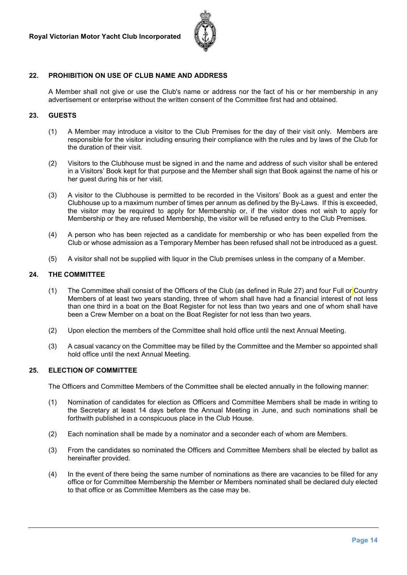

#### **22. PROHIBITION ON USE OF CLUB NAME AND ADDRESS**

A Member shall not give or use the Club's name or address nor the fact of his or her membership in any advertisement or enterprise without the written consent of the Committee first had and obtained.

#### **23. GUESTS**

- (1) A Member may introduce a visitor to the Club Premises for the day of their visit only. Members are responsible for the visitor including ensuring their compliance with the rules and by laws of the Club for the duration of their visit.
- (2) Visitors to the Clubhouse must be signed in and the name and address of such visitor shall be entered in a Visitors' Book kept for that purpose and the Member shall sign that Book against the name of his or her guest during his or her visit.
- (3) A visitor to the Clubhouse is permitted to be recorded in the Visitors' Book as a guest and enter the Clubhouse up to a maximum number of times per annum as defined by the By-Laws. If this is exceeded, the visitor may be required to apply for Membership or, if the visitor does not wish to apply for Membership or they are refused Membership, the visitor will be refused entry to the Club Premises.
- (4) A person who has been rejected as a candidate for membership or who has been expelled from the Club or whose admission as a Temporary Member has been refused shall not be introduced as a guest.
- (5) A visitor shall not be supplied with liquor in the Club premises unless in the company of a Member.

#### **24. THE COMMITTEE**

- (1) The Committee shall consist of the Officers of the Club (as defined in Rule 27) and four Full or Country Members of at least two years standing, three of whom shall have had a financial interest of not less than one third in a boat on the Boat Register for not less than two years and one of whom shall have been a Crew Member on a boat on the Boat Register for not less than two years.
- (2) Upon election the members of the Committee shall hold office until the next Annual Meeting.
- (3) A casual vacancy on the Committee may be filled by the Committee and the Member so appointed shall hold office until the next Annual Meeting.

#### **25. ELECTION OF COMMITTEE**

The Officers and Committee Members of the Committee shall be elected annually in the following manner:

- (1) Nomination of candidates for election as Officers and Committee Members shall be made in writing to the Secretary at least 14 days before the Annual Meeting in June, and such nominations shall be forthwith published in a conspicuous place in the Club House.
- (2) Each nomination shall be made by a nominator and a seconder each of whom are Members.
- (3) From the candidates so nominated the Officers and Committee Members shall be elected by ballot as hereinafter provided.
- (4) In the event of there being the same number of nominations as there are vacancies to be filled for any office or for Committee Membership the Member or Members nominated shall be declared duly elected to that office or as Committee Members as the case may be.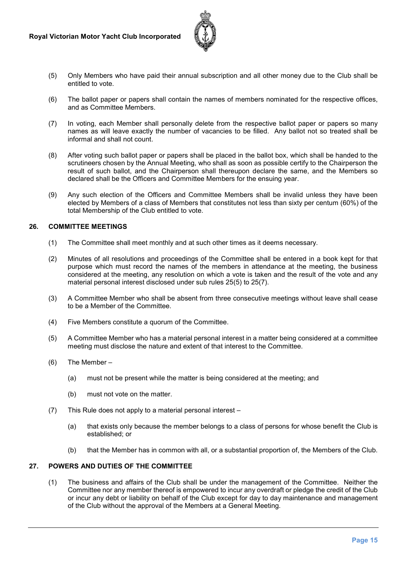

- (5) Only Members who have paid their annual subscription and all other money due to the Club shall be entitled to vote.
- (6) The ballot paper or papers shall contain the names of members nominated for the respective offices, and as Committee Members.
- (7) In voting, each Member shall personally delete from the respective ballot paper or papers so many names as will leave exactly the number of vacancies to be filled. Any ballot not so treated shall be informal and shall not count.
- (8) After voting such ballot paper or papers shall be placed in the ballot box, which shall be handed to the scrutineers chosen by the Annual Meeting, who shall as soon as possible certify to the Chairperson the result of such ballot, and the Chairperson shall thereupon declare the same, and the Members so declared shall be the Officers and Committee Members for the ensuing year.
- (9) Any such election of the Officers and Committee Members shall be invalid unless they have been elected by Members of a class of Members that constitutes not less than sixty per centum (60%) of the total Membership of the Club entitled to vote.

#### **26. COMMITTEE MEETINGS**

- (1) The Committee shall meet monthly and at such other times as it deems necessary.
- (2) Minutes of all resolutions and proceedings of the Committee shall be entered in a book kept for that purpose which must record the names of the members in attendance at the meeting, the business considered at the meeting, any resolution on which a vote is taken and the result of the vote and any material personal interest disclosed under sub rules 25(5) to 25(7).
- (3) A Committee Member who shall be absent from three consecutive meetings without leave shall cease to be a Member of the Committee.
- (4) Five Members constitute a quorum of the Committee.
- (5) A Committee Member who has a material personal interest in a matter being considered at a committee meeting must disclose the nature and extent of that interest to the Committee.
- (6) The Member
	- (a) must not be present while the matter is being considered at the meeting; and
	- (b) must not vote on the matter.
- (7) This Rule does not apply to a material personal interest
	- (a) that exists only because the member belongs to a class of persons for whose benefit the Club is established; or
	- (b) that the Member has in common with all, or a substantial proportion of, the Members of the Club.

#### **27. POWERS AND DUTIES OF THE COMMITTEE**

(1) The business and affairs of the Club shall be under the management of the Committee. Neither the Committee nor any member thereof is empowered to incur any overdraft or pledge the credit of the Club or incur any debt or liability on behalf of the Club except for day to day maintenance and management of the Club without the approval of the Members at a General Meeting.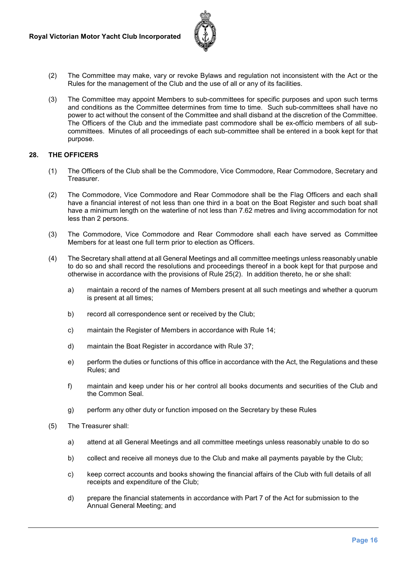

- (2) The Committee may make, vary or revoke Bylaws and regulation not inconsistent with the Act or the Rules for the management of the Club and the use of all or any of its facilities.
- (3) The Committee may appoint Members to sub-committees for specific purposes and upon such terms and conditions as the Committee determines from time to time. Such sub-committees shall have no power to act without the consent of the Committee and shall disband at the discretion of the Committee. The Officers of the Club and the immediate past commodore shall be ex-officio members of all subcommittees. Minutes of all proceedings of each sub-committee shall be entered in a book kept for that purpose.

#### **28. THE OFFICERS**

- (1) The Officers of the Club shall be the Commodore, Vice Commodore, Rear Commodore, Secretary and Treasurer.
- (2) The Commodore, Vice Commodore and Rear Commodore shall be the Flag Officers and each shall have a financial interest of not less than one third in a boat on the Boat Register and such boat shall have a minimum length on the waterline of not less than 7.62 metres and living accommodation for not less than 2 persons.
- (3) The Commodore, Vice Commodore and Rear Commodore shall each have served as Committee Members for at least one full term prior to election as Officers.
- (4) The Secretary shall attend at all General Meetings and all committee meetings unless reasonably unable to do so and shall record the resolutions and proceedings thereof in a book kept for that purpose and otherwise in accordance with the provisions of Rule 25(2). In addition thereto, he or she shall:
	- a) maintain a record of the names of Members present at all such meetings and whether a quorum is present at all times;
	- b) record all correspondence sent or received by the Club;
	- c) maintain the Register of Members in accordance with Rule 14;
	- d) maintain the Boat Register in accordance with Rule 37;
	- e) perform the duties or functions of this office in accordance with the Act, the Regulations and these Rules; and
	- f) maintain and keep under his or her control all books documents and securities of the Club and the Common Seal.
	- g) perform any other duty or function imposed on the Secretary by these Rules
- (5) The Treasurer shall:
	- a) attend at all General Meetings and all committee meetings unless reasonably unable to do so
	- b) collect and receive all moneys due to the Club and make all payments payable by the Club;
	- c) keep correct accounts and books showing the financial affairs of the Club with full details of all receipts and expenditure of the Club;
	- d) prepare the financial statements in accordance with Part 7 of the Act for submission to the Annual General Meeting; and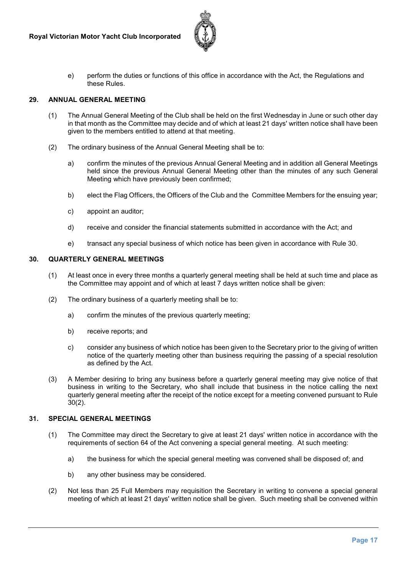

e) perform the duties or functions of this office in accordance with the Act, the Regulations and these Rules.

#### **29. ANNUAL GENERAL MEETING**

- (1) The Annual General Meeting of the Club shall be held on the first Wednesday in June or such other day in that month as the Committee may decide and of which at least 21 days' written notice shall have been given to the members entitled to attend at that meeting.
- (2) The ordinary business of the Annual General Meeting shall be to:
	- a) confirm the minutes of the previous Annual General Meeting and in addition all General Meetings held since the previous Annual General Meeting other than the minutes of any such General Meeting which have previously been confirmed;
	- b) elect the Flag Officers, the Officers of the Club and the Committee Members for the ensuing year;
	- c) appoint an auditor;
	- d) receive and consider the financial statements submitted in accordance with the Act; and
	- e) transact any special business of which notice has been given in accordance with Rule 30.

#### **30. QUARTERLY GENERAL MEETINGS**

- (1) At least once in every three months a quarterly general meeting shall be held at such time and place as the Committee may appoint and of which at least 7 days written notice shall be given:
- (2) The ordinary business of a quarterly meeting shall be to:
	- a) confirm the minutes of the previous quarterly meeting;
	- b) receive reports; and
	- c) consider any business of which notice has been given to the Secretary prior to the giving of written notice of the quarterly meeting other than business requiring the passing of a special resolution as defined by the Act.
- (3) A Member desiring to bring any business before a quarterly general meeting may give notice of that business in writing to the Secretary, who shall include that business in the notice calling the next quarterly general meeting after the receipt of the notice except for a meeting convened pursuant to Rule 30(2).

#### **31. SPECIAL GENERAL MEETINGS**

- (1) The Committee may direct the Secretary to give at least 21 days' written notice in accordance with the requirements of section 64 of the Act convening a special general meeting. At such meeting:
	- a) the business for which the special general meeting was convened shall be disposed of; and
	- b) any other business may be considered.
- (2) Not less than 25 Full Members may requisition the Secretary in writing to convene a special general meeting of which at least 21 days' written notice shall be given. Such meeting shall be convened within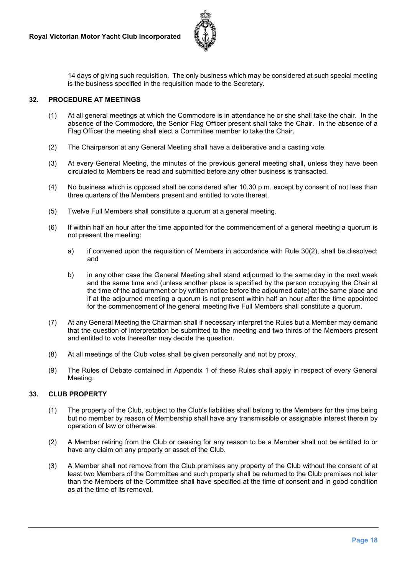

14 days of giving such requisition. The only business which may be considered at such special meeting is the business specified in the requisition made to the Secretary.

#### **32. PROCEDURE AT MEETINGS**

- (1) At all general meetings at which the Commodore is in attendance he or she shall take the chair. In the absence of the Commodore, the Senior Flag Officer present shall take the Chair. In the absence of a Flag Officer the meeting shall elect a Committee member to take the Chair.
- (2) The Chairperson at any General Meeting shall have a deliberative and a casting vote.
- (3) At every General Meeting, the minutes of the previous general meeting shall, unless they have been circulated to Members be read and submitted before any other business is transacted.
- (4) No business which is opposed shall be considered after 10.30 p.m. except by consent of not less than three quarters of the Members present and entitled to vote thereat.
- (5) Twelve Full Members shall constitute a quorum at a general meeting.
- (6) If within half an hour after the time appointed for the commencement of a general meeting a quorum is not present the meeting:
	- a) if convened upon the requisition of Members in accordance with Rule 30(2), shall be dissolved; and
	- b) in any other case the General Meeting shall stand adjourned to the same day in the next week and the same time and (unless another place is specified by the person occupying the Chair at the time of the adjournment or by written notice before the adjourned date) at the same place and if at the adjourned meeting a quorum is not present within half an hour after the time appointed for the commencement of the general meeting five Full Members shall constitute a quorum.
- (7) At any General Meeting the Chairman shall if necessary interpret the Rules but a Member may demand that the question of interpretation be submitted to the meeting and two thirds of the Members present and entitled to vote thereafter may decide the question.
- (8) At all meetings of the Club votes shall be given personally and not by proxy.
- (9) The Rules of Debate contained in Appendix 1 of these Rules shall apply in respect of every General Meeting.

#### **33. CLUB PROPERTY**

- (1) The property of the Club, subject to the Club's liabilities shall belong to the Members for the time being but no member by reason of Membership shall have any transmissible or assignable interest therein by operation of law or otherwise.
- (2) A Member retiring from the Club or ceasing for any reason to be a Member shall not be entitled to or have any claim on any property or asset of the Club.
- (3) A Member shall not remove from the Club premises any property of the Club without the consent of at least two Members of the Committee and such property shall be returned to the Club premises not later than the Members of the Committee shall have specified at the time of consent and in good condition as at the time of its removal.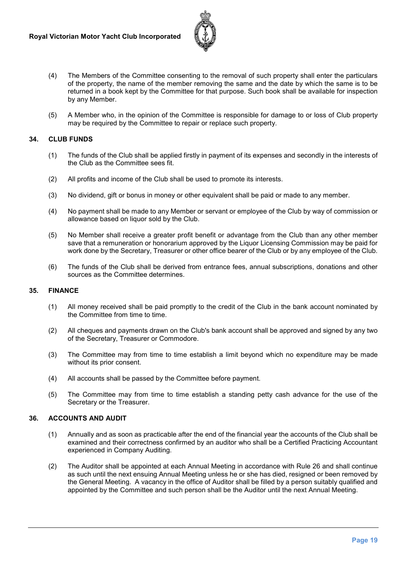

- (4) The Members of the Committee consenting to the removal of such property shall enter the particulars of the property, the name of the member removing the same and the date by which the same is to be returned in a book kept by the Committee for that purpose. Such book shall be available for inspection by any Member.
- (5) A Member who, in the opinion of the Committee is responsible for damage to or loss of Club property may be required by the Committee to repair or replace such property.

#### **34. CLUB FUNDS**

- (1) The funds of the Club shall be applied firstly in payment of its expenses and secondly in the interests of the Club as the Committee sees fit.
- (2) All profits and income of the Club shall be used to promote its interests.
- (3) No dividend, gift or bonus in money or other equivalent shall be paid or made to any member.
- (4) No payment shall be made to any Member or servant or employee of the Club by way of commission or allowance based on liquor sold by the Club.
- (5) No Member shall receive a greater profit benefit or advantage from the Club than any other member save that a remuneration or honorarium approved by the Liquor Licensing Commission may be paid for work done by the Secretary, Treasurer or other office bearer of the Club or by any employee of the Club.
- (6) The funds of the Club shall be derived from entrance fees, annual subscriptions, donations and other sources as the Committee determines.

#### **35. FINANCE**

- (1) All money received shall be paid promptly to the credit of the Club in the bank account nominated by the Committee from time to time.
- (2) All cheques and payments drawn on the Club's bank account shall be approved and signed by any two of the Secretary, Treasurer or Commodore.
- (3) The Committee may from time to time establish a limit beyond which no expenditure may be made without its prior consent.
- (4) All accounts shall be passed by the Committee before payment.
- (5) The Committee may from time to time establish a standing petty cash advance for the use of the Secretary or the Treasurer.

#### **36. ACCOUNTS AND AUDIT**

- (1) Annually and as soon as practicable after the end of the financial year the accounts of the Club shall be examined and their correctness confirmed by an auditor who shall be a Certified Practicing Accountant experienced in Company Auditing.
- (2) The Auditor shall be appointed at each Annual Meeting in accordance with Rule 26 and shall continue as such until the next ensuing Annual Meeting unless he or she has died, resigned or been removed by the General Meeting. A vacancy in the office of Auditor shall be filled by a person suitably qualified and appointed by the Committee and such person shall be the Auditor until the next Annual Meeting.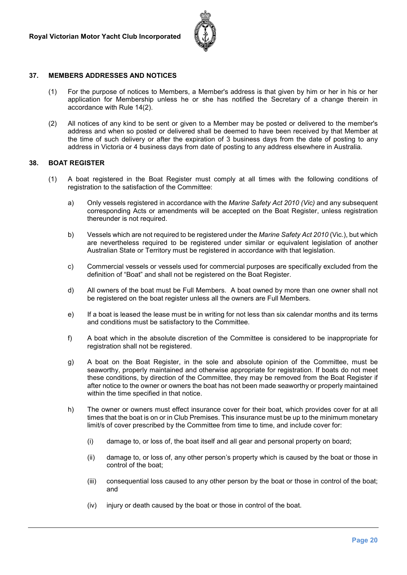

#### **37. MEMBERS ADDRESSES AND NOTICES**

- (1) For the purpose of notices to Members, a Member's address is that given by him or her in his or her application for Membership unless he or she has notified the Secretary of a change therein in accordance with Rule 14(2).
- (2) All notices of any kind to be sent or given to a Member may be posted or delivered to the member's address and when so posted or delivered shall be deemed to have been received by that Member at the time of such delivery or after the expiration of 3 business days from the date of posting to any address in Victoria or 4 business days from date of posting to any address elsewhere in Australia.

#### **38. BOAT REGISTER**

- (1) A boat registered in the Boat Register must comply at all times with the following conditions of registration to the satisfaction of the Committee:
	- a) Only vessels registered in accordance with the *Marine Safety Act 2010 (Vic)* and any subsequent corresponding Acts or amendments will be accepted on the Boat Register, unless registration thereunder is not required.
	- b) Vessels which are not required to be registered under the *Marine Safety Act 2010* (Vic.), but which are nevertheless required to be registered under similar or equivalent legislation of another Australian State or Territory must be registered in accordance with that legislation.
	- c) Commercial vessels or vessels used for commercial purposes are specifically excluded from the definition of "Boat" and shall not be registered on the Boat Register.
	- d) All owners of the boat must be Full Members. A boat owned by more than one owner shall not be registered on the boat register unless all the owners are Full Members.
	- e) If a boat is leased the lease must be in writing for not less than six calendar months and its terms and conditions must be satisfactory to the Committee.
	- f) A boat which in the absolute discretion of the Committee is considered to be inappropriate for registration shall not be registered.
	- g) A boat on the Boat Register, in the sole and absolute opinion of the Committee, must be seaworthy, properly maintained and otherwise appropriate for registration. If boats do not meet these conditions, by direction of the Committee, they may be removed from the Boat Register if after notice to the owner or owners the boat has not been made seaworthy or properly maintained within the time specified in that notice.
	- h) The owner or owners must effect insurance cover for their boat, which provides cover for at all times that the boat is on or in Club Premises. This insurance must be up to the minimum monetary limit/s of cover prescribed by the Committee from time to time, and include cover for:
		- (i) damage to, or loss of, the boat itself and all gear and personal property on board;
		- (ii) damage to, or loss of, any other person's property which is caused by the boat or those in control of the boat;
		- (iii) consequential loss caused to any other person by the boat or those in control of the boat; and
		- (iv) injury or death caused by the boat or those in control of the boat.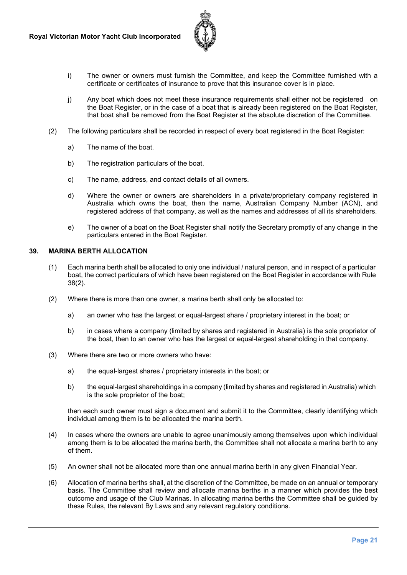

- i) The owner or owners must furnish the Committee, and keep the Committee furnished with a certificate or certificates of insurance to prove that this insurance cover is in place.
- j) Any boat which does not meet these insurance requirements shall either not be registered on the Boat Register, or in the case of a boat that is already been registered on the Boat Register, that boat shall be removed from the Boat Register at the absolute discretion of the Committee.
- (2) The following particulars shall be recorded in respect of every boat registered in the Boat Register:
	- a) The name of the boat.
	- b) The registration particulars of the boat.
	- c) The name, address, and contact details of all owners.
	- d) Where the owner or owners are shareholders in a private/proprietary company registered in Australia which owns the boat, then the name, Australian Company Number (ACN), and registered address of that company, as well as the names and addresses of all its shareholders.
	- e) The owner of a boat on the Boat Register shall notify the Secretary promptly of any change in the particulars entered in the Boat Register.

#### **39. MARINA BERTH ALLOCATION**

- (1) Each marina berth shall be allocated to only one individual / natural person, and in respect of a particular boat, the correct particulars of which have been registered on the Boat Register in accordance with Rule 38(2).
- (2) Where there is more than one owner, a marina berth shall only be allocated to:
	- a) an owner who has the largest or equal-largest share / proprietary interest in the boat; or
	- b) in cases where a company (limited by shares and registered in Australia) is the sole proprietor of the boat, then to an owner who has the largest or equal-largest shareholding in that company.
- (3) Where there are two or more owners who have:
	- a) the equal-largest shares / proprietary interests in the boat; or
	- b) the equal-largest shareholdings in a company (limited by shares and registered in Australia) which is the sole proprietor of the boat;

then each such owner must sign a document and submit it to the Committee, clearly identifying which individual among them is to be allocated the marina berth.

- (4) In cases where the owners are unable to agree unanimously among themselves upon which individual among them is to be allocated the marina berth, the Committee shall not allocate a marina berth to any of them.
- (5) An owner shall not be allocated more than one annual marina berth in any given Financial Year.
- (6) Allocation of marina berths shall, at the discretion of the Committee, be made on an annual or temporary basis. The Committee shall review and allocate marina berths in a manner which provides the best outcome and usage of the Club Marinas. In allocating marina berths the Committee shall be guided by these Rules, the relevant By Laws and any relevant regulatory conditions.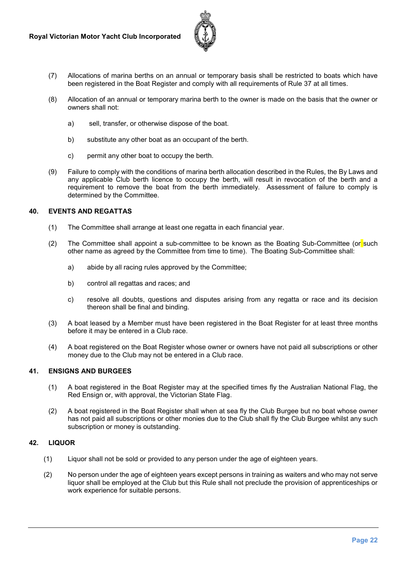

- (7) Allocations of marina berths on an annual or temporary basis shall be restricted to boats which have been registered in the Boat Register and comply with all requirements of Rule 37 at all times.
- (8) Allocation of an annual or temporary marina berth to the owner is made on the basis that the owner or owners shall not:
	- a) sell, transfer, or otherwise dispose of the boat.
	- b) substitute any other boat as an occupant of the berth.
	- c) permit any other boat to occupy the berth.
- (9) Failure to comply with the conditions of marina berth allocation described in the Rules, the By Laws and any applicable Club berth licence to occupy the berth, will result in revocation of the berth and a requirement to remove the boat from the berth immediately. Assessment of failure to comply is determined by the Committee.

#### **40. EVENTS AND REGATTAS**

- (1) The Committee shall arrange at least one regatta in each financial year.
- (2) The Committee shall appoint a sub-committee to be known as the Boating Sub-Committee (or such other name as agreed by the Committee from time to time). The Boating Sub-Committee shall:
	- a) abide by all racing rules approved by the Committee;
	- b) control all regattas and races; and
	- c) resolve all doubts, questions and disputes arising from any regatta or race and its decision thereon shall be final and binding.
- (3) A boat leased by a Member must have been registered in the Boat Register for at least three months before it may be entered in a Club race.
- (4) A boat registered on the Boat Register whose owner or owners have not paid all subscriptions or other money due to the Club may not be entered in a Club race.

#### **41. ENSIGNS AND BURGEES**

- (1) A boat registered in the Boat Register may at the specified times fly the Australian National Flag, the Red Ensign or, with approval, the Victorian State Flag.
- (2) A boat registered in the Boat Register shall when at sea fly the Club Burgee but no boat whose owner has not paid all subscriptions or other monies due to the Club shall fly the Club Burgee whilst any such subscription or money is outstanding.

#### **42. LIQUOR**

- (1) Liquor shall not be sold or provided to any person under the age of eighteen years.
- (2) No person under the age of eighteen years except persons in training as waiters and who may not serve liquor shall be employed at the Club but this Rule shall not preclude the provision of apprenticeships or work experience for suitable persons.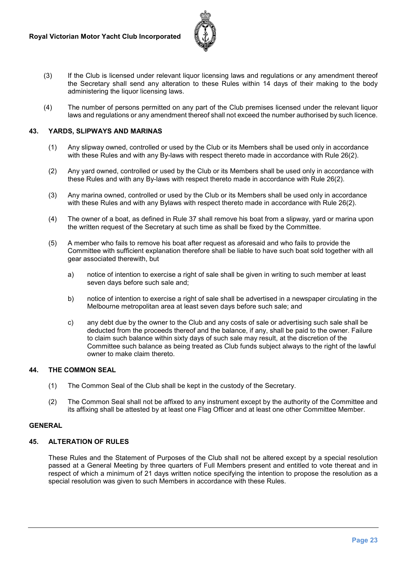

- (3) If the Club is licensed under relevant liquor licensing laws and regulations or any amendment thereof the Secretary shall send any alteration to these Rules within 14 days of their making to the body administering the liquor licensing laws.
- (4) The number of persons permitted on any part of the Club premises licensed under the relevant liquor laws and regulations or any amendment thereof shall not exceed the number authorised by such licence.

#### **43. YARDS, SLIPWAYS AND MARINAS**

- (1) Any slipway owned, controlled or used by the Club or its Members shall be used only in accordance with these Rules and with any By-laws with respect thereto made in accordance with Rule 26(2).
- (2) Any yard owned, controlled or used by the Club or its Members shall be used only in accordance with these Rules and with any By-laws with respect thereto made in accordance with Rule 26(2).
- (3) Any marina owned, controlled or used by the Club or its Members shall be used only in accordance with these Rules and with any Bylaws with respect thereto made in accordance with Rule 26(2).
- (4) The owner of a boat, as defined in Rule 37 shall remove his boat from a slipway, yard or marina upon the written request of the Secretary at such time as shall be fixed by the Committee.
- (5) A member who fails to remove his boat after request as aforesaid and who fails to provide the Committee with sufficient explanation therefore shall be liable to have such boat sold together with all gear associated therewith, but
	- a) notice of intention to exercise a right of sale shall be given in writing to such member at least seven days before such sale and;
	- b) notice of intention to exercise a right of sale shall be advertised in a newspaper circulating in the Melbourne metropolitan area at least seven days before such sale; and
	- c) any debt due by the owner to the Club and any costs of sale or advertising such sale shall be deducted from the proceeds thereof and the balance, if any, shall be paid to the owner. Failure to claim such balance within sixty days of such sale may result, at the discretion of the Committee such balance as being treated as Club funds subject always to the right of the lawful owner to make claim thereto.

#### **44. THE COMMON SEAL**

- (1) The Common Seal of the Club shall be kept in the custody of the Secretary.
- (2) The Common Seal shall not be affixed to any instrument except by the authority of the Committee and its affixing shall be attested by at least one Flag Officer and at least one other Committee Member.

#### **GENERAL**

#### **45. ALTERATION OF RULES**

These Rules and the Statement of Purposes of the Club shall not be altered except by a special resolution passed at a General Meeting by three quarters of Full Members present and entitled to vote thereat and in respect of which a minimum of 21 days written notice specifying the intention to propose the resolution as a special resolution was given to such Members in accordance with these Rules.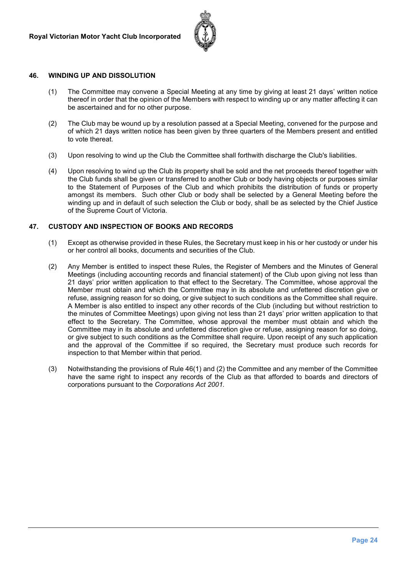

#### **46. WINDING UP AND DISSOLUTION**

- (1) The Committee may convene a Special Meeting at any time by giving at least 21 days' written notice thereof in order that the opinion of the Members with respect to winding up or any matter affecting it can be ascertained and for no other purpose.
- (2) The Club may be wound up by a resolution passed at a Special Meeting, convened for the purpose and of which 21 days written notice has been given by three quarters of the Members present and entitled to vote thereat.
- (3) Upon resolving to wind up the Club the Committee shall forthwith discharge the Club's liabilities.
- (4) Upon resolving to wind up the Club its property shall be sold and the net proceeds thereof together with the Club funds shall be given or transferred to another Club or body having objects or purposes similar to the Statement of Purposes of the Club and which prohibits the distribution of funds or property amongst its members. Such other Club or body shall be selected by a General Meeting before the winding up and in default of such selection the Club or body, shall be as selected by the Chief Justice of the Supreme Court of Victoria.

#### **47. CUSTODY AND INSPECTION OF BOOKS AND RECORDS**

- (1) Except as otherwise provided in these Rules, the Secretary must keep in his or her custody or under his or her control all books, documents and securities of the Club.
- (2) Any Member is entitled to inspect these Rules, the Register of Members and the Minutes of General Meetings (including accounting records and financial statement) of the Club upon giving not less than 21 days' prior written application to that effect to the Secretary. The Committee, whose approval the Member must obtain and which the Committee may in its absolute and unfettered discretion give or refuse, assigning reason for so doing, or give subject to such conditions as the Committee shall require. A Member is also entitled to inspect any other records of the Club (including but without restriction to the minutes of Committee Meetings) upon giving not less than 21 days' prior written application to that effect to the Secretary. The Committee, whose approval the member must obtain and which the Committee may in its absolute and unfettered discretion give or refuse, assigning reason for so doing, or give subject to such conditions as the Committee shall require. Upon receipt of any such application and the approval of the Committee if so required, the Secretary must produce such records for inspection to that Member within that period.
- (3) Notwithstanding the provisions of Rule 46(1) and (2) the Committee and any member of the Committee have the same right to inspect any records of the Club as that afforded to boards and directors of corporations pursuant to the *Corporations Act 2001.*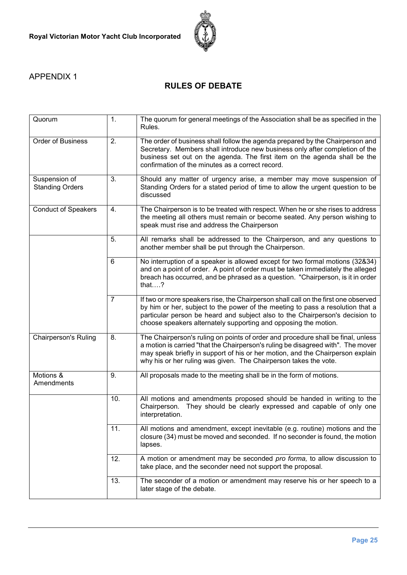

## APPENDIX 1

# **RULES OF DEBATE**

| Quorum                                  | 1.             | The quorum for general meetings of the Association shall be as specified in the<br>Rules.                                                                                                                                                                                                                                  |
|-----------------------------------------|----------------|----------------------------------------------------------------------------------------------------------------------------------------------------------------------------------------------------------------------------------------------------------------------------------------------------------------------------|
| Order of Business                       | 2.             | The order of business shall follow the agenda prepared by the Chairperson and<br>Secretary. Members shall introduce new business only after completion of the<br>business set out on the agenda. The first item on the agenda shall be the<br>confirmation of the minutes as a correct record.                             |
| Suspension of<br><b>Standing Orders</b> | 3.             | Should any matter of urgency arise, a member may move suspension of<br>Standing Orders for a stated period of time to allow the urgent question to be<br>discussed                                                                                                                                                         |
| <b>Conduct of Speakers</b>              | 4.             | The Chairperson is to be treated with respect. When he or she rises to address<br>the meeting all others must remain or become seated. Any person wishing to<br>speak must rise and address the Chairperson                                                                                                                |
|                                         | 5.             | All remarks shall be addressed to the Chairperson, and any questions to<br>another member shall be put through the Chairperson.                                                                                                                                                                                            |
|                                         | 6              | No interruption of a speaker is allowed except for two formal motions (32&34)<br>and on a point of order. A point of order must be taken immediately the alleged<br>breach has occurred, and be phrased as a question. "Chairperson, is it in order<br>that $.2$                                                           |
|                                         | $\overline{7}$ | If two or more speakers rise, the Chairperson shall call on the first one observed<br>by him or her, subject to the power of the meeting to pass a resolution that a<br>particular person be heard and subject also to the Chairperson's decision to<br>choose speakers alternately supporting and opposing the motion.    |
| <b>Chairperson's Ruling</b>             | 8.             | The Chairperson's ruling on points of order and procedure shall be final, unless<br>a motion is carried "that the Chairperson's ruling be disagreed with". The mover<br>may speak briefly in support of his or her motion, and the Chairperson explain<br>why his or her ruling was given. The Chairperson takes the vote. |
| Motions &<br>Amendments                 | 9.             | All proposals made to the meeting shall be in the form of motions.                                                                                                                                                                                                                                                         |
|                                         | 10.            | All motions and amendments proposed should be handed in writing to the<br>Chairperson. They should be clearly expressed and capable of only one<br>interpretation.                                                                                                                                                         |
|                                         | 11.            | All motions and amendment, except inevitable (e.g. routine) motions and the<br>closure (34) must be moved and seconded. If no seconder is found, the motion<br>lapses.                                                                                                                                                     |
|                                         | 12.            | A motion or amendment may be seconded pro forma, to allow discussion to<br>take place, and the seconder need not support the proposal.                                                                                                                                                                                     |
|                                         | 13.            | The seconder of a motion or amendment may reserve his or her speech to a<br>later stage of the debate.                                                                                                                                                                                                                     |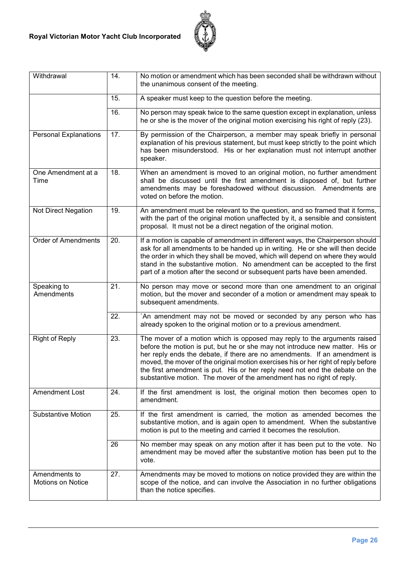

| Withdrawal                                | 14. | No motion or amendment which has been seconded shall be withdrawn without<br>the unanimous consent of the meeting.                                                                                                                                                                                                                                                                                                                                                                  |
|-------------------------------------------|-----|-------------------------------------------------------------------------------------------------------------------------------------------------------------------------------------------------------------------------------------------------------------------------------------------------------------------------------------------------------------------------------------------------------------------------------------------------------------------------------------|
|                                           | 15. | A speaker must keep to the question before the meeting.                                                                                                                                                                                                                                                                                                                                                                                                                             |
|                                           | 16. | No person may speak twice to the same question except in explanation, unless<br>he or she is the mover of the original motion exercising his right of reply (23).                                                                                                                                                                                                                                                                                                                   |
| <b>Personal Explanations</b>              | 17. | By permission of the Chairperson, a member may speak briefly in personal<br>explanation of his previous statement, but must keep strictly to the point which<br>has been misunderstood. His or her explanation must not interrupt another<br>speaker.                                                                                                                                                                                                                               |
| One Amendment at a<br>Time                | 18. | When an amendment is moved to an original motion, no further amendment<br>shall be discussed until the first amendment is disposed of, but further<br>amendments may be foreshadowed without discussion. Amendments are<br>voted on before the motion.                                                                                                                                                                                                                              |
| Not Direct Negation                       | 19. | An amendment must be relevant to the question, and so framed that it forms,<br>with the part of the original motion unaffected by it, a sensible and consistent<br>proposal. It must not be a direct negation of the original motion.                                                                                                                                                                                                                                               |
| <b>Order of Amendments</b>                | 20. | If a motion is capable of amendment in different ways, the Chairperson should<br>ask for all amendments to be handed up in writing. He or she will then decide<br>the order in which they shall be moved, which will depend on where they would<br>stand in the substantive motion. No amendment can be accepted to the first<br>part of a motion after the second or subsequent parts have been amended.                                                                           |
| Speaking to<br>Amendments                 | 21. | No person may move or second more than one amendment to an original<br>motion, but the mover and seconder of a motion or amendment may speak to<br>subsequent amendments.                                                                                                                                                                                                                                                                                                           |
|                                           | 22. | `An amendment may not be moved or seconded by any person who has<br>already spoken to the original motion or to a previous amendment.                                                                                                                                                                                                                                                                                                                                               |
| <b>Right of Reply</b>                     | 23. | The mover of a motion which is opposed may reply to the arguments raised<br>before the motion is put, but he or she may not introduce new matter. His or<br>her reply ends the debate, if there are no amendments. If an amendment is<br>moved, the mover of the original motion exercises his or her right of reply before<br>the first amendment is put. His or her reply need not end the debate on the<br>substantive motion. The mover of the amendment has no right of reply. |
| Amendment Lost                            | 24. | If the first amendment is lost, the original motion then becomes open to<br>amendment.                                                                                                                                                                                                                                                                                                                                                                                              |
| <b>Substantive Motion</b>                 | 25. | If the first amendment is carried, the motion as amended becomes the<br>substantive motion, and is again open to amendment. When the substantive<br>motion is put to the meeting and carried it becomes the resolution.                                                                                                                                                                                                                                                             |
|                                           | 26  | No member may speak on any motion after it has been put to the vote. No<br>amendment may be moved after the substantive motion has been put to the<br>vote.                                                                                                                                                                                                                                                                                                                         |
| Amendments to<br><b>Motions on Notice</b> | 27. | Amendments may be moved to motions on notice provided they are within the<br>scope of the notice, and can involve the Association in no further obligations<br>than the notice specifies.                                                                                                                                                                                                                                                                                           |